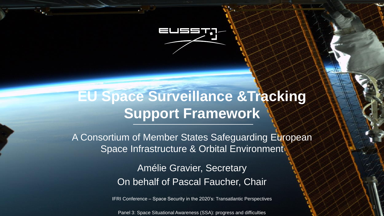

## **EU Space Surveillance &Tracking Support Framework**

A Consortium of Member States Safeguarding European Space Infrastructure & Orbital Environment

> Amélie Gravier, Secretary On behalf of Pascal Faucher, Chair

IFRI Conference – Space Security in the 2020's: Transatlantic Perspectives

1

Panel 3: Space Situational Awareness (SSA): progress and difficulties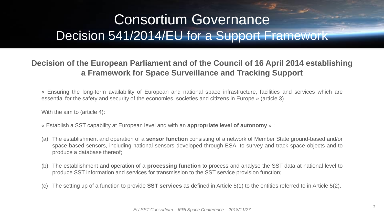# Consortium Governance Decision 541/2014/EU for a Support Framework

### **Decision of the European Parliament and of the Council of 16 April 2014 establishing a Framework for Space Surveillance and Tracking Support**

« Ensuring the long-term availability of European and national space infrastructure, facilities and services which are essential for the safety and security of the economies, societies and citizens in Europe » (article 3)

With the aim to (article 4):

« Establish a SST capability at European level and with an **appropriate level of autonomy** » :

- (a) The establishment and operation of a **sensor function** consisting of a network of Member State ground-based and/or space-based sensors, including national sensors developed through ESA, to survey and track space objects and to produce a database thereof;
- (b) The establishment and operation of a **processing function** to process and analyse the SST data at national level to produce SST information and services for transmission to the SST service provision function;
- (c) The setting up of a function to provide **SST services** as defined in Article 5(1) to the entities referred to in Article 5(2).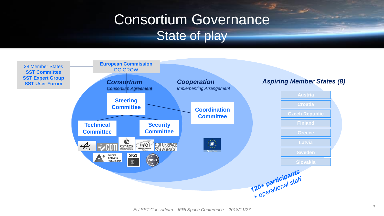# Consortium Governance State of play

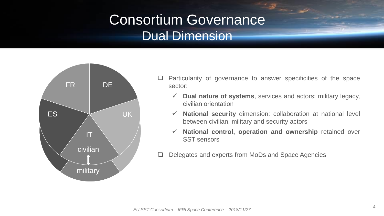# Consortium Governance Dual Dimension



- $\Box$  Particularity of governance to answer specificities of the space sector:
	- **Dual nature of systems**, services and actors: military legacy, civilian orientation
	- **National security** dimension: collaboration at national level between civilian, military and security actors
	- **National control, operation and ownership** retained over SST sensors
- Delegates and experts from MoDs and Space Agencies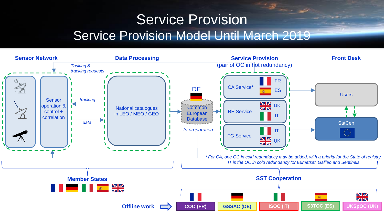### $\mathbb{Z}_{\infty}$ Service Provision Service Provision Model Until March 2019

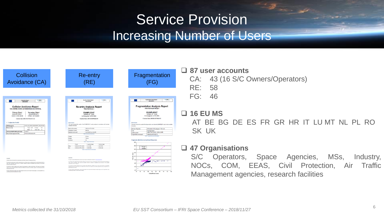### Service Provision Increasing Number of Users

| Collision<br>Avoidance (CA)                                                                                                                                                                                                                                                                                                                                                                                                                                                                                                                             |                                                        |                                                                                                                    | <b>Re-entry</b>                                                                                                |                                                                                                                                                                                                                                                                                                                                                                                                                   | Fra                                                        |
|---------------------------------------------------------------------------------------------------------------------------------------------------------------------------------------------------------------------------------------------------------------------------------------------------------------------------------------------------------------------------------------------------------------------------------------------------------------------------------------------------------------------------------------------------------|--------------------------------------------------------|--------------------------------------------------------------------------------------------------------------------|----------------------------------------------------------------------------------------------------------------|-------------------------------------------------------------------------------------------------------------------------------------------------------------------------------------------------------------------------------------------------------------------------------------------------------------------------------------------------------------------------------------------------------------------|------------------------------------------------------------|
|                                                                                                                                                                                                                                                                                                                                                                                                                                                                                                                                                         |                                                        |                                                                                                                    |                                                                                                                |                                                                                                                                                                                                                                                                                                                                                                                                                   |                                                            |
| <b>CL GST</b><br><b>Conjunction Report</b><br><b>UNCLASSIFIED</b><br><b>Collision Avoidance Report</b><br>1CA-16099B-16099C-201605030928-002-CRITICAL                                                                                                                                                                                                                                                                                                                                                                                                   |                                                        |                                                                                                                    | Re-entry Analysis Report<br><b>UNCLASSIFIED</b><br><b>Re-entry Analysis Report</b><br>1RE-97067A-EU-1          | وترسمت                                                                                                                                                                                                                                                                                                                                                                                                            | Fragm                                                      |
| Primary Object<br><b>Secondary Object</b><br><b>FXAMPI FSAT1</b><br><b>FXAMPLESAT2</b><br>12345 / 2016-099B<br>67890 / 2016-099C<br>Creation Date: 2016-05-03T09:28:15.123                                                                                                                                                                                                                                                                                                                                                                              |                                                        |                                                                                                                    | <b>EXAMPLESAT</b><br><b>NORAD ID: 12345</b><br>Int.Designator: 2016-099C<br>Creation Date: 2016-05-03T09:28:15 |                                                                                                                                                                                                                                                                                                                                                                                                                   |                                                            |
| 1 Conjunction Details:<br>12345_conj 67890 2016002025347 093152520236<br>CDM Message ID:                                                                                                                                                                                                                                                                                                                                                                                                                                                                | Overview:<br>available information:                    |                                                                                                                    |                                                                                                                | This report presents the results of the EXAMPLESAT re-entry analysis in accordance with the latest                                                                                                                                                                                                                                                                                                                | Overview<br>This report presents the repai<br>information: |
| Total: 0.34<br>Distances [len]:<br>In Track:<br>0.2<br>Radial: 0.2<br>Cross Track: 0.2                                                                                                                                                                                                                                                                                                                                                                                                                                                                  | Epoch of the re-entry.                                 |                                                                                                                    | 2016-01-01T01:25:03                                                                                            |                                                                                                                                                                                                                                                                                                                                                                                                                   | Number of fragments                                        |
| Collision probability (Alfriend & Akella):<br>124E103                                                                                                                                                                                                                                                                                                                                                                                                                                                                                                   | Uncertainty of epoch                                   |                                                                                                                    | ±0h15m                                                                                                         |                                                                                                                                                                                                                                                                                                                                                                                                                   | Ture                                                       |
| 2016-01-02T03 04:05 678<br>Time of closest approach (TCA):                                                                                                                                                                                                                                                                                                                                                                                                                                                                                              | Nominal re-entry point                                 |                                                                                                                    | Let. 50.94°N Lon. 54.34°E<br>Table 1: Re-entry information                                                     |                                                                                                                                                                                                                                                                                                                                                                                                                   | Colision partner:                                          |
|                                                                                                                                                                                                                                                                                                                                                                                                                                                                                                                                                         |                                                        |                                                                                                                    |                                                                                                                |                                                                                                                                                                                                                                                                                                                                                                                                                   | Fragmentation event epox                                   |
|                                                                                                                                                                                                                                                                                                                                                                                                                                                                                                                                                         | Apogea<br>Peripee:                                     |                                                                                                                    | 215 km<br>185 km                                                                                               |                                                                                                                                                                                                                                                                                                                                                                                                                   |                                                            |
|                                                                                                                                                                                                                                                                                                                                                                                                                                                                                                                                                         | <b>Inclination:</b>                                    |                                                                                                                    | SY:                                                                                                            |                                                                                                                                                                                                                                                                                                                                                                                                                   | <b>Fragments distributed</b>                               |
|                                                                                                                                                                                                                                                                                                                                                                                                                                                                                                                                                         |                                                        |                                                                                                                    | Table 2: Object information                                                                                    |                                                                                                                                                                                                                                                                                                                                                                                                                   | 1600                                                       |
|                                                                                                                                                                                                                                                                                                                                                                                                                                                                                                                                                         |                                                        | Epoch                                                                                                              | Longitude [deg]                                                                                                | Latitude [deg]                                                                                                                                                                                                                                                                                                                                                                                                    |                                                            |
|                                                                                                                                                                                                                                                                                                                                                                                                                                                                                                                                                         | Entry:                                                 | 2016-01-01T01.02.03                                                                                                | $-8.411085$                                                                                                    | 38.877597                                                                                                                                                                                                                                                                                                                                                                                                         | tom<br>$\bullet$ 5                                         |
|                                                                                                                                                                                                                                                                                                                                                                                                                                                                                                                                                         | <b>Ext</b>                                             | 2016-01-01T01:20:03                                                                                                | 23.851466                                                                                                      | 50.851466                                                                                                                                                                                                                                                                                                                                                                                                         | $\cdot$<br>1400                                            |
| correnge<br>This model consume reference on the last contributed on information retrieved from www.source-track.org<br>The conjunction working report has been proposed with due care. Because serious underlying issuel the results disk bused active this<br>report contain unomitables, which can not be concreted. Therefore no laterar for completeness and committees of the provided<br>information and data combingtown.<br>The artisty has numbed funding from the European Union programmes, numbly from the Modian 2000 meants and remarkant | <b>DISOLANER</b><br>information and data can be given. | This report contains information that is at least in earts based on information retrieved from www.scape.track.org | Table 3: Area of Interest Information                                                                          | The re-entry analysis report has been prepared with due care, theoryse of various underlying legal data, the results distributed within this<br>report contain uncertainties, which cannot be controlled. Therefore no liability for completeness and connectness of the provided<br>This activity has received funding from the European Union anarcanyous, wouldn't from the Horizon 2020 arounds and impaction | 1200<br>ikon)<br>Altitude<br>1000<br>100<br>con<br>400     |
| presences under most approveds No 71300 and No 71302 and the Convenient and Salley occurrence under grant approved. By<br>2905/680/020903/2987<br>This report reflects only the special's view and the European Commission and the Roose & Consolide Approx and responsible for any<br>use that may be matted the information if contains.                                                                                                                                                                                                              | 225/07090/009075/7987                                  | use that may be made of the information it contains.                                                               |                                                                                                                | programme under grant agreements No 713030 and No 713762 and the Copernicus and Galleo programme under grant agreement No<br>This report reflects only the sender's view and the European Commission and the Research Executive Agency are not responsible for any                                                                                                                                                | 200<br>$^{44}$<br><b>DC</b>                                |

| Fragmentation<br>(FG) |                                                               |                                                                                                              |  |  |  |  |  |
|-----------------------|---------------------------------------------------------------|--------------------------------------------------------------------------------------------------------------|--|--|--|--|--|
|                       |                                                               |                                                                                                              |  |  |  |  |  |
|                       |                                                               |                                                                                                              |  |  |  |  |  |
|                       |                                                               | etation Analysis Ra                                                                                          |  |  |  |  |  |
|                       |                                                               | UNITASSEND                                                                                                   |  |  |  |  |  |
|                       | <b>Fragmentation Analysis Report</b><br>1FG-97067A-20170322-1 |                                                                                                              |  |  |  |  |  |
|                       | <b>EXAMPLESAT</b>                                             |                                                                                                              |  |  |  |  |  |
|                       | NORAD ID: 12345                                               |                                                                                                              |  |  |  |  |  |
|                       | Int.Designator: 2016-099C                                     |                                                                                                              |  |  |  |  |  |
|                       |                                                               | Creation Date: 2016.05.03T09:28:15                                                                           |  |  |  |  |  |
| Overview:             |                                                               | This report presents the results of the fragmentstian event related to EXAMPLESAT using the latest available |  |  |  |  |  |
| information           |                                                               |                                                                                                              |  |  |  |  |  |
| Number of fragments   |                                                               | 450 detected / 300 catalogued / 150 in orbit                                                                 |  |  |  |  |  |
| Type                  |                                                               | Ful fragmentation                                                                                            |  |  |  |  |  |
| Colision partner.     |                                                               | IMPACTSAT (54321, 2016-321IMP)                                                                               |  |  |  |  |  |
|                       | Fragmentation event epoch:                                    | 2016-05-03T09:28:15<br>1 - Engementstien august information                                                  |  |  |  |  |  |
| 1000<br>1000          |                                                               | Fragments distribution (Gabbard Diagram):                                                                    |  |  |  |  |  |
|                       | Perigee                                                       |                                                                                                              |  |  |  |  |  |
| 1400                  | Apogoe                                                        |                                                                                                              |  |  |  |  |  |
| 1200                  |                                                               |                                                                                                              |  |  |  |  |  |
|                       |                                                               |                                                                                                              |  |  |  |  |  |
| 1000                  |                                                               |                                                                                                              |  |  |  |  |  |
|                       |                                                               |                                                                                                              |  |  |  |  |  |
| Altitudo (km)<br>t00  |                                                               |                                                                                                              |  |  |  |  |  |
| m                     |                                                               | <b>Super</b><br>横横                                                                                           |  |  |  |  |  |
|                       |                                                               |                                                                                                              |  |  |  |  |  |
| $\omega$              |                                                               |                                                                                                              |  |  |  |  |  |

Orbital Poriod (min)

#### **87 user accounts**

- CA: 43 (16 S/C Owners/Operators)
- RE: 58

```
FG: 46
```

```
 16 EU MS
```
AT BE BG DE ES FR GR HR IT LU MT NL PL RO SK UK

### **47 Organisations**

S/C Operators, Space Agencies, MSs, Industry, NOCs, COM, EEAS, Civil Protection, Air Traffic Management agencies, research facilities